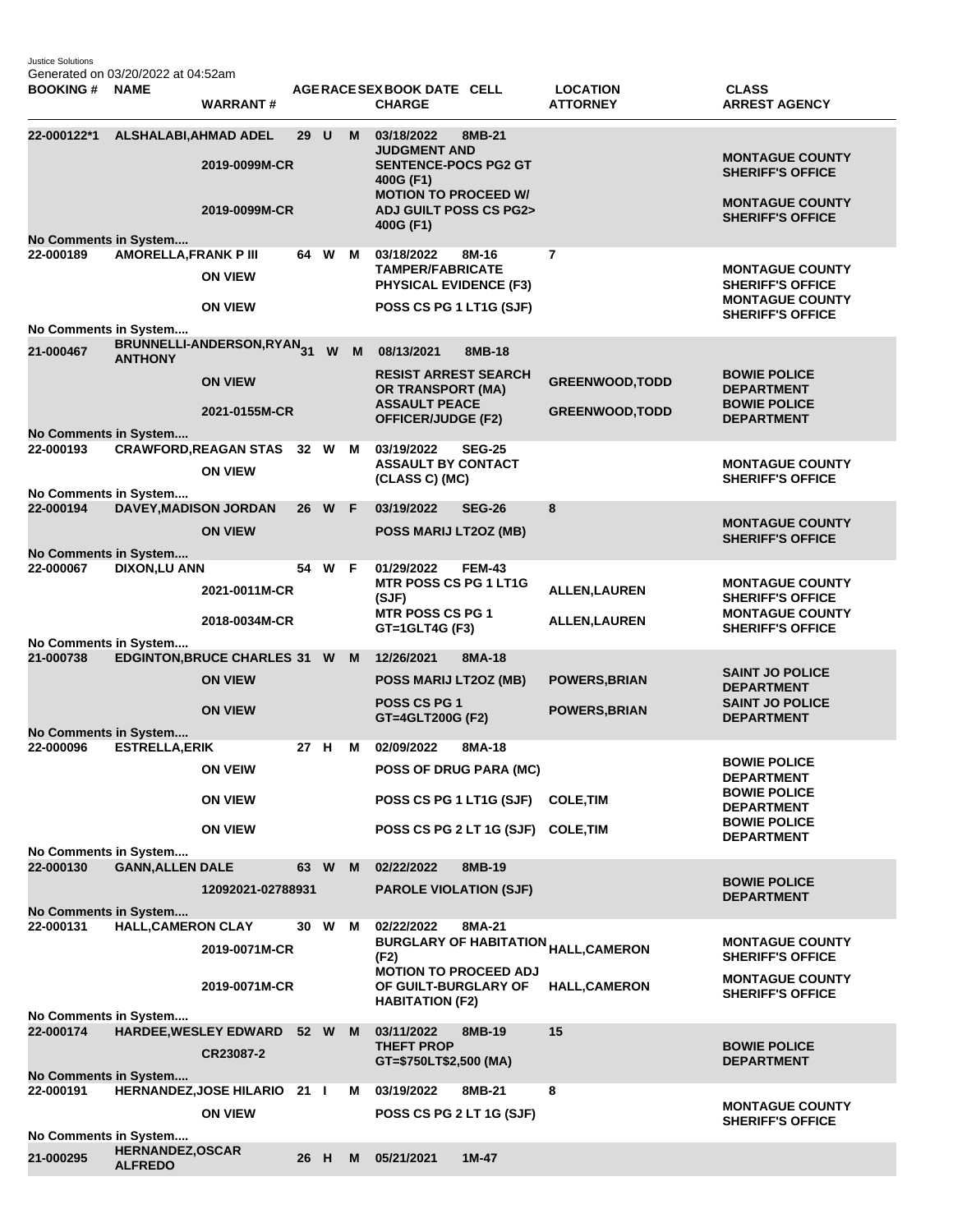Justice Solutions Generated on 03/20/2022 at 04:52am

| <b>BOOKING#</b>                                                                                      | <b>NAME</b>                               | <b>WARRANT#</b>                       |      |        |          | AGERACE SEX BOOK DATE CELL<br><b>CHARGE</b>                                                                                            |               | <b>LOCATION</b><br><b>ATTORNEY</b>               | <b>CLASS</b><br><b>ARREST AGENCY</b>                                        |
|------------------------------------------------------------------------------------------------------|-------------------------------------------|---------------------------------------|------|--------|----------|----------------------------------------------------------------------------------------------------------------------------------------|---------------|--------------------------------------------------|-----------------------------------------------------------------------------|
| 22-000122*1                                                                                          | <b>ALSHALABI, AHMAD ADEL</b>              | 2019-0099M-CR<br>2019-0099M-CR        | 29 U |        | M        | 03/18/2022<br><b>JUDGMENT AND</b><br><b>SENTENCE-POCS PG2 GT</b><br>400G (F1)<br><b>MOTION TO PROCEED W/</b><br>ADJ GUILT POSS CS PG2> | 8MB-21        |                                                  | <b>MONTAGUE COUNTY</b><br><b>SHERIFF'S OFFICE</b><br><b>MONTAGUE COUNTY</b> |
|                                                                                                      |                                           |                                       |      |        |          | 400G (F1)                                                                                                                              |               |                                                  | <b>SHERIFF'S OFFICE</b>                                                     |
| No Comments in System                                                                                |                                           |                                       |      |        |          |                                                                                                                                        |               |                                                  |                                                                             |
| 22-000189                                                                                            | <b>AMORELLA, FRANK P III</b>              | <b>ON VIEW</b>                        |      | 64 W   | M        | 03/18/2022<br>8M-16<br><b>TAMPER/FABRICATE</b><br><b>PHYSICAL EVIDENCE (F3)</b>                                                        |               | $\overline{7}$                                   | <b>MONTAGUE COUNTY</b><br><b>SHERIFF'S OFFICE</b>                           |
|                                                                                                      |                                           | <b>ON VIEW</b>                        |      |        |          | POSS CS PG 1 LT1G (SJF)                                                                                                                |               |                                                  | <b>MONTAGUE COUNTY</b><br><b>SHERIFF'S OFFICE</b>                           |
| No Comments in System                                                                                |                                           |                                       |      |        |          |                                                                                                                                        |               |                                                  |                                                                             |
| 21-000467                                                                                            | <b>ANTHONY</b>                            | BRUNNELLI-ANDERSON,RYAN <sub>31</sub> |      | W      | <b>M</b> | 08/13/2021                                                                                                                             | 8MB-18        |                                                  |                                                                             |
|                                                                                                      |                                           | <b>ON VIEW</b><br>2021-0155M-CR       |      |        |          | <b>RESIST ARREST SEARCH</b><br><b>OR TRANSPORT (MA)</b><br><b>ASSAULT PEACE</b>                                                        |               | <b>GREENWOOD, TODD</b><br><b>GREENWOOD, TODD</b> | <b>BOWIE POLICE</b><br><b>DEPARTMENT</b><br><b>BOWIE POLICE</b>             |
| No Comments in System                                                                                |                                           |                                       |      |        |          | <b>OFFICER/JUDGE (F2)</b>                                                                                                              |               |                                                  | <b>DEPARTMENT</b>                                                           |
| 22-000193                                                                                            |                                           | <b>CRAWFORD, REAGAN STAS 32 W</b>     |      |        | M        | 03/19/2022                                                                                                                             | <b>SEG-25</b> |                                                  |                                                                             |
| No Comments in System                                                                                |                                           | <b>ON VIEW</b>                        |      |        |          | <b>ASSAULT BY CONTACT</b><br>(CLASS C) (MC)                                                                                            |               |                                                  | <b>MONTAGUE COUNTY</b><br><b>SHERIFF'S OFFICE</b>                           |
| 22-000194                                                                                            | <b>DAVEY, MADISON JORDAN</b>              |                                       |      | 26 W F |          | 03/19/2022                                                                                                                             | <b>SEG-26</b> | 8                                                |                                                                             |
|                                                                                                      |                                           | <b>ON VIEW</b>                        |      |        |          | POSS MARIJ LT2OZ (MB)                                                                                                                  |               |                                                  | <b>MONTAGUE COUNTY</b><br><b>SHERIFF'S OFFICE</b>                           |
| No Comments in System<br>22-000067                                                                   | <b>DIXON,LU ANN</b>                       |                                       |      | 54 W F |          | 01/29/2022                                                                                                                             | <b>FEM-43</b> |                                                  |                                                                             |
|                                                                                                      |                                           | 2021-0011M-CR                         |      |        |          | <b>MTR POSS CS PG 1 LT1G</b><br>(SJF)                                                                                                  |               | <b>ALLEN, LAUREN</b>                             | <b>MONTAGUE COUNTY</b><br><b>SHERIFF'S OFFICE</b>                           |
|                                                                                                      |                                           | 2018-0034M-CR                         |      |        |          | <b>MTR POSS CS PG 1</b>                                                                                                                |               | <b>ALLEN, LAUREN</b>                             | <b>MONTAGUE COUNTY</b>                                                      |
| No Comments in System                                                                                |                                           |                                       |      |        |          | GT=1GLT4G (F3)                                                                                                                         |               |                                                  | <b>SHERIFF'S OFFICE</b>                                                     |
| 21-000738                                                                                            |                                           | <b>EDGINTON, BRUCE CHARLES 31 W</b>   |      |        | M        | 12/26/2021                                                                                                                             | 8MA-18        |                                                  |                                                                             |
|                                                                                                      |                                           | <b>ON VIEW</b>                        |      |        |          | POSS MARIJ LT2OZ (MB)                                                                                                                  |               | <b>POWERS, BRIAN</b>                             | <b>SAINT JO POLICE</b><br><b>DEPARTMENT</b>                                 |
|                                                                                                      |                                           | <b>ON VIEW</b>                        |      |        |          | POSS CS PG 1<br>GT=4GLT200G (F2)                                                                                                       |               | <b>POWERS, BRIAN</b>                             | <b>SAINT JO POLICE</b><br><b>DEPARTMENT</b>                                 |
| No Comments in System                                                                                |                                           |                                       |      |        |          |                                                                                                                                        |               |                                                  |                                                                             |
| 22-000096                                                                                            | <b>ESTRELLA, ERIK</b>                     |                                       | 27 H |        | M        | 02/09/2022                                                                                                                             | 8MA-18        |                                                  |                                                                             |
|                                                                                                      |                                           | <b>ON VEIW</b>                        |      |        |          | <b>POSS OF DRUG PARA (MC)</b>                                                                                                          |               |                                                  | <b>BOWIE POLICE</b><br><b>DEPARTMENT</b><br><b>BOWIE POLICE</b>             |
|                                                                                                      |                                           | <b>ON VIEW</b>                        |      |        |          | POSS CS PG 1 LT1G (SJF)                                                                                                                |               | <b>COLE, TIM</b>                                 | <b>DEPARTMENT</b>                                                           |
|                                                                                                      |                                           | <b>ON VIEW</b>                        |      |        |          | POSS CS PG 2 LT 1G (SJF) COLE, TIM                                                                                                     |               |                                                  | <b>BOWIE POLICE</b><br><b>DEPARTMENT</b>                                    |
| No Comments in System<br>22-000130                                                                   | <b>GANN, ALLEN DALE</b>                   |                                       |      | 63 W   | M        | 02/22/2022                                                                                                                             | 8MB-19        |                                                  |                                                                             |
|                                                                                                      |                                           | 12092021-02788931                     |      |        |          | <b>PAROLE VIOLATION (SJF)</b>                                                                                                          |               |                                                  | <b>BOWIE POLICE</b>                                                         |
|                                                                                                      |                                           |                                       |      |        |          |                                                                                                                                        |               |                                                  | <b>DEPARTMENT</b>                                                           |
| No Comments in System<br>22-000131<br><b>HALL, CAMERON CLAY</b><br>30 W<br>02/22/2022<br>8MA-21<br>M |                                           |                                       |      |        |          |                                                                                                                                        |               |                                                  |                                                                             |
|                                                                                                      |                                           | 2019-0071M-CR                         |      |        |          | <b>BURGLARY OF HABITATION <sub>HALL,CAMERON</sub></b><br>(F2)                                                                          |               |                                                  | <b>MONTAGUE COUNTY</b><br><b>SHERIFF'S OFFICE</b>                           |
|                                                                                                      |                                           | 2019-0071M-CR                         |      |        |          | <b>MOTION TO PROCEED ADJ</b><br>OF GUILT-BURGLARY OF<br><b>HABITATION (F2)</b>                                                         |               | <b>HALL,CAMERON</b>                              | <b>MONTAGUE COUNTY</b><br><b>SHERIFF'S OFFICE</b>                           |
| No Comments in System                                                                                |                                           |                                       |      |        |          |                                                                                                                                        |               |                                                  |                                                                             |
| 22-000174                                                                                            |                                           | HARDEE, WESLEY EDWARD<br>CR23087-2    |      | 52 W   | M        | 03/11/2022<br><b>THEFT PROP</b><br>GT=\$750LT\$2,500 (MA)                                                                              | 8MB-19        | 15                                               | <b>BOWIE POLICE</b><br><b>DEPARTMENT</b>                                    |
| No Comments in System                                                                                |                                           |                                       |      |        |          |                                                                                                                                        |               |                                                  |                                                                             |
| 22-000191                                                                                            |                                           | HERNANDEZ, JOSE HILARIO 21 I          |      |        | м        | 03/19/2022                                                                                                                             | 8MB-21        | 8                                                |                                                                             |
| No Comments in System                                                                                |                                           | <b>ON VIEW</b>                        |      |        |          | POSS CS PG 2 LT 1G (SJF)                                                                                                               |               |                                                  | <b>MONTAGUE COUNTY</b><br><b>SHERIFF'S OFFICE</b>                           |
| 21-000295                                                                                            | <b>HERNANDEZ, OSCAR</b><br><b>ALFREDO</b> |                                       | 26 H |        | м        | 05/21/2021                                                                                                                             | $1M-47$       |                                                  |                                                                             |
|                                                                                                      |                                           |                                       |      |        |          |                                                                                                                                        |               |                                                  |                                                                             |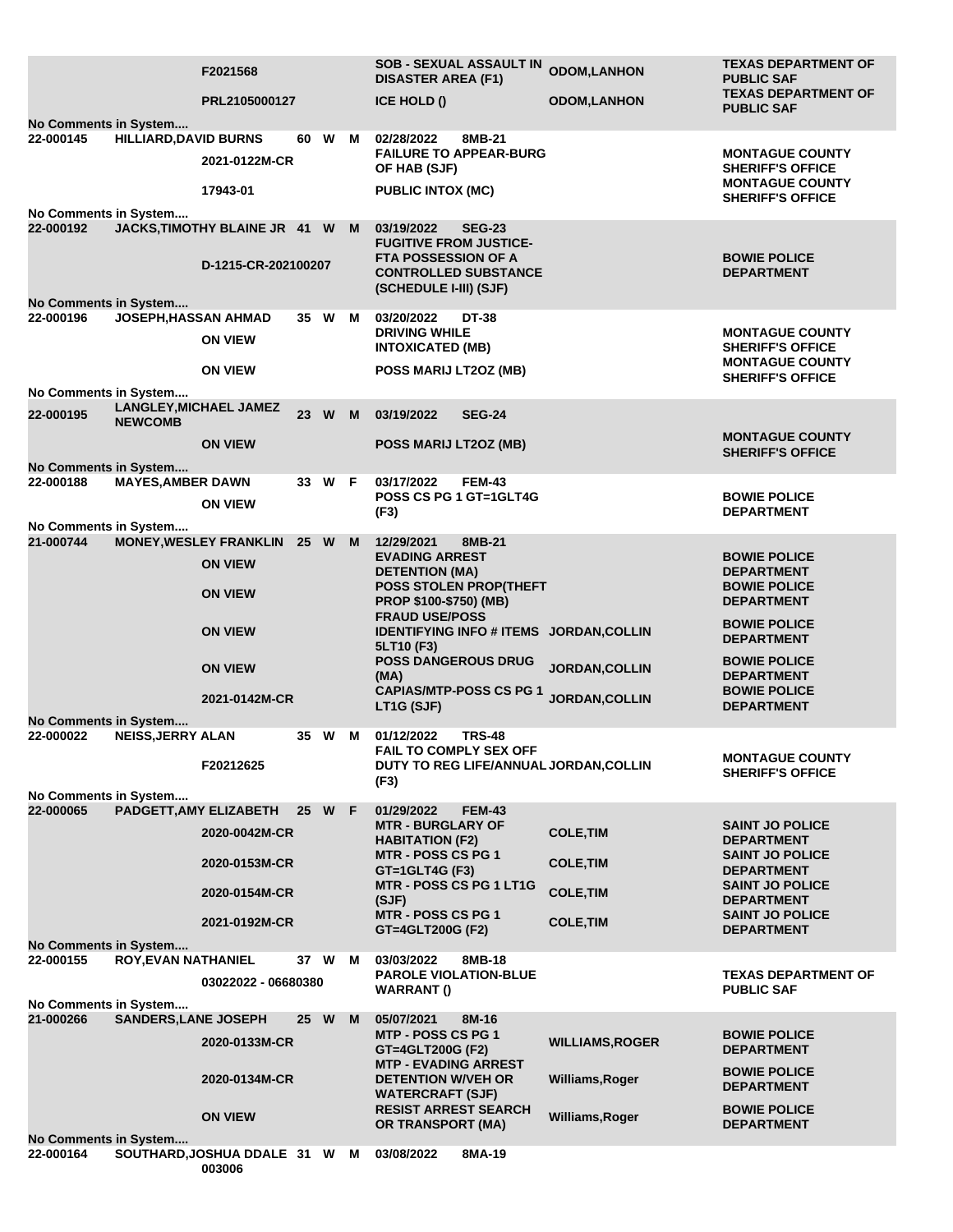|                                           | F2021568                                        |                     |     | <b>SOB - SEXUAL ASSAULT IN</b><br><b>DISASTER AREA (F1)</b>                                                          | <b>ODOM,LANHON</b>     | <b>TEXAS DEPARTMENT OF</b><br><b>PUBLIC SAF</b>   |  |
|-------------------------------------------|-------------------------------------------------|---------------------|-----|----------------------------------------------------------------------------------------------------------------------|------------------------|---------------------------------------------------|--|
|                                           | PRL2105000127                                   |                     |     | <b>ICE HOLD ()</b>                                                                                                   | <b>ODOM, LANHON</b>    | <b>TEXAS DEPARTMENT OF</b><br><b>PUBLIC SAF</b>   |  |
| No Comments in System<br>22-000145        | <b>HILLIARD, DAVID BURNS</b>                    | W<br>60             | M   | 8MB-21<br>02/28/2022                                                                                                 |                        |                                                   |  |
|                                           | 2021-0122M-CR                                   |                     |     | <b>FAILURE TO APPEAR-BURG</b><br>OF HAB (SJF)                                                                        |                        | <b>MONTAGUE COUNTY</b><br><b>SHERIFF'S OFFICE</b> |  |
|                                           | 17943-01                                        |                     |     | <b>PUBLIC INTOX (MC)</b>                                                                                             |                        | <b>MONTAGUE COUNTY</b><br><b>SHERIFF'S OFFICE</b> |  |
| No Comments in System<br>22-000192        | JACKS, TIMOTHY BLAINE JR 41 W M                 |                     |     | 03/19/2022<br><b>SEG-23</b>                                                                                          |                        |                                                   |  |
|                                           | D-1215-CR-202100207                             |                     |     | <b>FUGITIVE FROM JUSTICE-</b><br><b>FTA POSSESSION OF A</b><br><b>CONTROLLED SUBSTANCE</b><br>(SCHEDULE I-III) (SJF) |                        | <b>BOWIE POLICE</b><br><b>DEPARTMENT</b>          |  |
| No Comments in System                     |                                                 |                     |     |                                                                                                                      |                        |                                                   |  |
| 22-000196                                 | <b>JOSEPH, HASSAN AHMAD</b>                     | 35 W                | M   | 03/20/2022<br><b>DT-38</b>                                                                                           |                        |                                                   |  |
|                                           | <b>ON VIEW</b>                                  |                     |     | <b>DRIVING WHILE</b><br><b>INTOXICATED (MB)</b>                                                                      |                        | <b>MONTAGUE COUNTY</b><br><b>SHERIFF'S OFFICE</b> |  |
|                                           | <b>ON VIEW</b>                                  |                     |     | POSS MARIJ LT2OZ (MB)                                                                                                |                        | <b>MONTAGUE COUNTY</b><br><b>SHERIFF'S OFFICE</b> |  |
| No Comments in System                     |                                                 |                     |     |                                                                                                                      |                        |                                                   |  |
| 22-000195<br><b>NEWCOMB</b>               | <b>LANGLEY, MICHAEL JAMEZ</b>                   | W<br>23             | - M | 03/19/2022<br><b>SEG-24</b>                                                                                          |                        | <b>MONTAGUE COUNTY</b>                            |  |
|                                           | <b>ON VIEW</b>                                  |                     |     | POSS MARIJ LT2OZ (MB)                                                                                                |                        | <b>SHERIFF'S OFFICE</b>                           |  |
| No Comments in System<br>22-000188        | <b>MAYES, AMBER DAWN</b>                        | 33 W F              |     | 03/17/2022<br><b>FEM-43</b>                                                                                          |                        |                                                   |  |
|                                           | <b>ON VIEW</b>                                  |                     |     | POSS CS PG 1 GT=1GLT4G<br>(F3)                                                                                       |                        | <b>BOWIE POLICE</b><br><b>DEPARTMENT</b>          |  |
| No Comments in System                     |                                                 |                     |     |                                                                                                                      |                        |                                                   |  |
| 21-000744                                 | <b>MONEY, WESLEY FRANKLIN</b><br><b>ON VIEW</b> | 25 W M              |     | 12/29/2021<br>8MB-21<br><b>EVADING ARREST</b>                                                                        |                        | <b>BOWIE POLICE</b>                               |  |
|                                           | <b>ON VIEW</b>                                  |                     |     | <b>DETENTION (MA)</b><br><b>POSS STOLEN PROP(THEFT</b>                                                               |                        | <b>DEPARTMENT</b><br><b>BOWIE POLICE</b>          |  |
|                                           |                                                 |                     |     | PROP \$100-\$750) (MB)<br><b>FRAUD USE/POSS</b>                                                                      |                        | <b>DEPARTMENT</b><br><b>BOWIE POLICE</b>          |  |
|                                           | <b>ON VIEW</b>                                  |                     |     | IDENTIFYING INFO # ITEMS JORDAN, COLLIN<br>5LT10 (F3)                                                                |                        | <b>DEPARTMENT</b>                                 |  |
|                                           | <b>ON VIEW</b>                                  |                     |     | <b>POSS DANGEROUS DRUG</b><br>(MA)                                                                                   | JORDAN, COLLIN         | <b>BOWIE POLICE</b><br><b>DEPARTMENT</b>          |  |
|                                           | 2021-0142M-CR                                   |                     |     | <b>CAPIAS/MTP-POSS CS PG 1</b><br>LT1G (SJF)                                                                         | JORDAN, COLLIN         | <b>BOWIE POLICE</b><br><b>DEPARTMENT</b>          |  |
| <b>No Comments in System</b>              |                                                 |                     |     |                                                                                                                      |                        |                                                   |  |
| 22-000022                                 | <b>NEISS, JERRY ALAN</b>                        | 35 W                | M   | 01/12/2022<br><b>TRS-48</b><br><b>FAIL TO COMPLY SEX OFF</b>                                                         |                        | <b>MONTAGUE COUNTY</b>                            |  |
|                                           | F20212625                                       |                     |     | DUTY TO REG LIFE/ANNUAL JORDAN, COLLIN<br>(F3)                                                                       |                        | <b>SHERIFF'S OFFICE</b>                           |  |
| No Comments in System                     |                                                 |                     |     |                                                                                                                      |                        |                                                   |  |
| 22-000065                                 | PADGETT, AMY ELIZABETH                          | 25 W F              |     | 01/29/2022<br><b>FEM-43</b><br><b>MTR - BURGLARY OF</b>                                                              |                        | <b>SAINT JO POLICE</b>                            |  |
|                                           | 2020-0042M-CR                                   |                     |     | <b>HABITATION (F2)</b><br>MTR - POSS CS PG 1                                                                         | <b>COLE, TIM</b>       | <b>DEPARTMENT</b><br><b>SAINT JO POLICE</b>       |  |
|                                           | 2020-0153M-CR                                   |                     |     | $GT = 1$ GLT4G (F3)                                                                                                  | <b>COLE, TIM</b>       | <b>DEPARTMENT</b>                                 |  |
|                                           | 2020-0154M-CR                                   |                     |     | MTR - POSS CS PG 1 LT1G<br>(SJF)                                                                                     | <b>COLE, TIM</b>       | <b>SAINT JO POLICE</b><br><b>DEPARTMENT</b>       |  |
|                                           | 2021-0192M-CR                                   |                     |     | MTR - POSS CS PG 1<br>GT=4GLT200G (F2)                                                                               | <b>COLE, TIM</b>       | <b>SAINT JO POLICE</b><br><b>DEPARTMENT</b>       |  |
| No Comments in System<br>22-000155        | <b>ROY, EVAN NATHANIEL</b>                      | 37 W                | M   | 03/03/2022<br>8MB-18                                                                                                 |                        |                                                   |  |
|                                           |                                                 |                     |     | <b>PAROLE VIOLATION-BLUE</b>                                                                                         |                        | <b>TEXAS DEPARTMENT OF</b>                        |  |
|                                           |                                                 | 03022022 - 06680380 |     | <b>WARRANT()</b>                                                                                                     |                        | <b>PUBLIC SAF</b>                                 |  |
| No Comments in System<br>21-000266        | <b>SANDERS, LANE JOSEPH</b>                     | 25 W                | M   | 05/07/2021<br>8M-16                                                                                                  |                        |                                                   |  |
|                                           | 2020-0133M-CR                                   |                     |     | MTP - POSS CS PG 1<br>GT=4GLT200G (F2)                                                                               | <b>WILLIAMS, ROGER</b> | <b>BOWIE POLICE</b><br><b>DEPARTMENT</b>          |  |
|                                           | 2020-0134M-CR                                   |                     |     | <b>MTP - EVADING ARREST</b><br><b>DETENTION W/VEH OR</b>                                                             | Williams, Roger        | <b>BOWIE POLICE</b>                               |  |
|                                           |                                                 |                     |     | <b>WATERCRAFT (SJF)</b>                                                                                              |                        | <b>DEPARTMENT</b>                                 |  |
|                                           | <b>ON VIEW</b>                                  |                     |     | <b>RESIST ARREST SEARCH</b><br>OR TRANSPORT (MA)                                                                     | Williams, Roger        | <b>BOWIE POLICE</b><br><b>DEPARTMENT</b>          |  |
| <b>No Comments in System</b><br>22-000164 | SOUTHARD, JOSHUA DDALE 31 W M                   |                     |     | 03/08/2022<br>8MA-19                                                                                                 |                        |                                                   |  |
|                                           | 003006                                          |                     |     |                                                                                                                      |                        |                                                   |  |